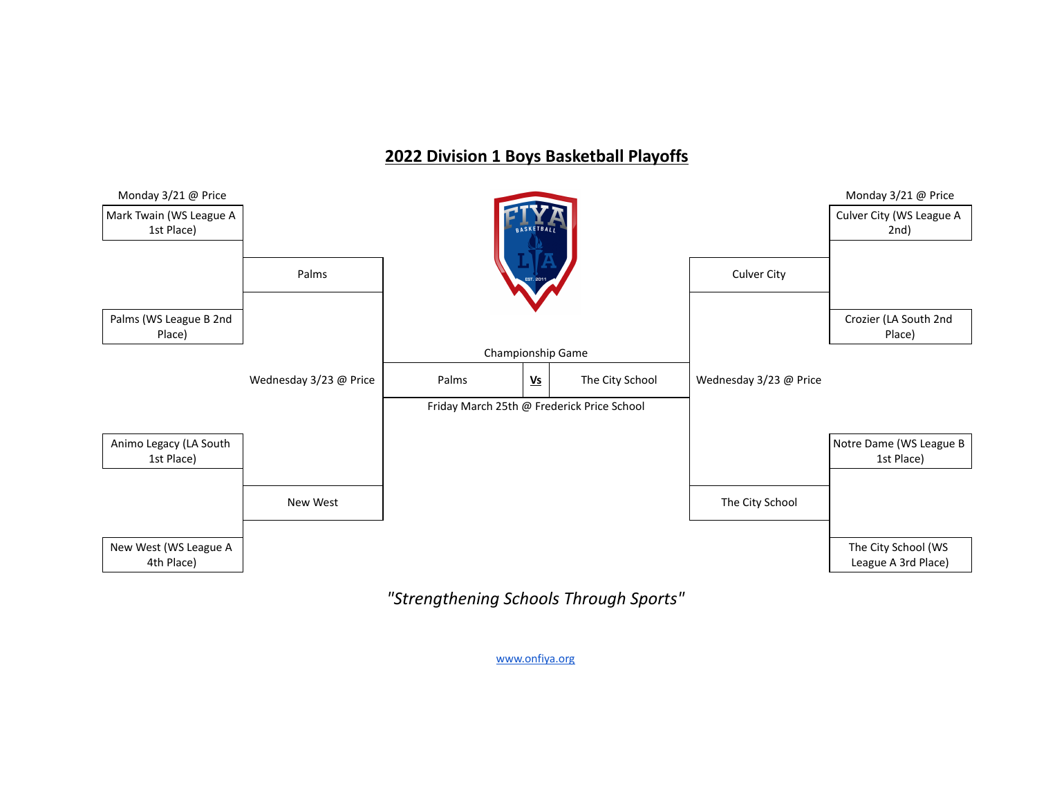## **2022 Division 1 Boys Basketball Playoffs**



*"Strengthening Schools Through Sports"*

[www.onfiya.org](http://www.onfiya.org/)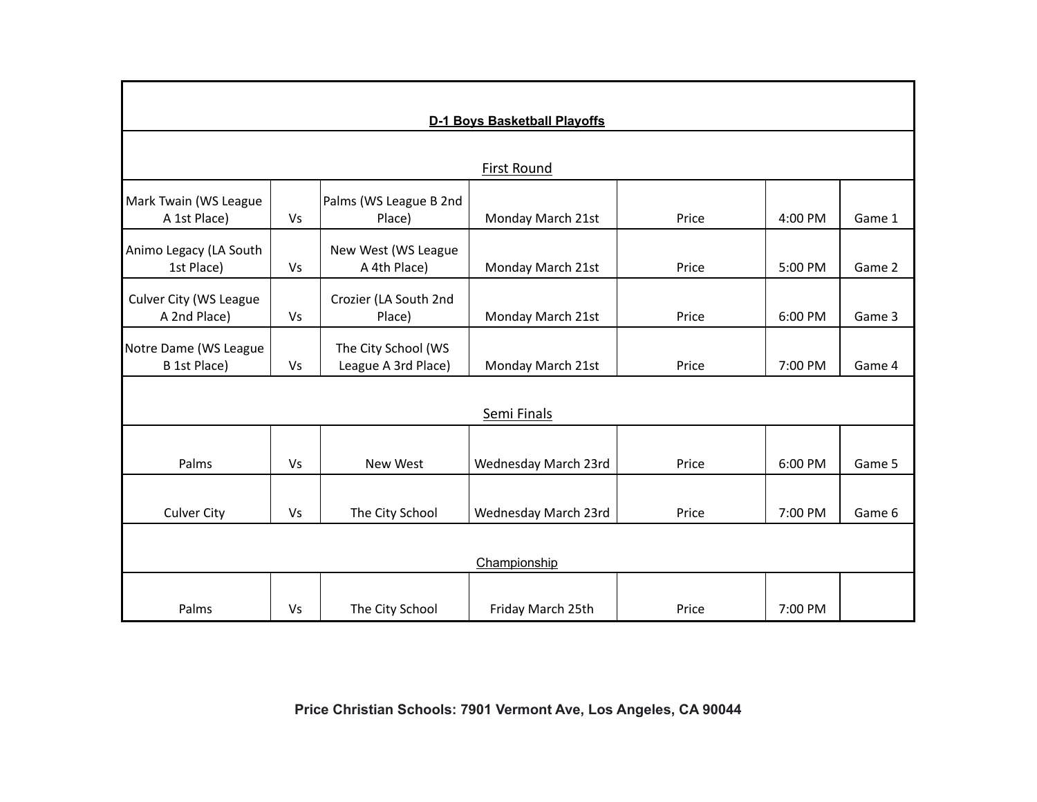| <b>D-1 Boys Basketball Playoffs</b>          |           |                                            |                      |       |         |        |  |  |  |  |  |
|----------------------------------------------|-----------|--------------------------------------------|----------------------|-------|---------|--------|--|--|--|--|--|
| <b>First Round</b>                           |           |                                            |                      |       |         |        |  |  |  |  |  |
|                                              |           |                                            |                      |       |         |        |  |  |  |  |  |
| Mark Twain (WS League<br>A 1st Place)        | Vs        | Palms (WS League B 2nd<br>Place)           | Monday March 21st    | Price | 4:00 PM | Game 1 |  |  |  |  |  |
| Animo Legacy (LA South<br>1st Place)         | <b>Vs</b> | New West (WS League<br>A 4th Place)        | Monday March 21st    | Price | 5:00 PM | Game 2 |  |  |  |  |  |
| Culver City (WS League<br>A 2nd Place)       | <b>Vs</b> | Crozier (LA South 2nd<br>Place)            | Monday March 21st    | Price | 6:00 PM | Game 3 |  |  |  |  |  |
| Notre Dame (WS League<br><b>B</b> 1st Place) | Vs        | The City School (WS<br>League A 3rd Place) | Monday March 21st    | Price | 7:00 PM | Game 4 |  |  |  |  |  |
| Semi Finals                                  |           |                                            |                      |       |         |        |  |  |  |  |  |
|                                              |           |                                            |                      |       |         |        |  |  |  |  |  |
| Palms                                        | Vs        | New West                                   | Wednesday March 23rd | Price | 6:00 PM | Game 5 |  |  |  |  |  |
| <b>Culver City</b>                           | Vs        | The City School                            | Wednesday March 23rd | Price | 7:00 PM | Game 6 |  |  |  |  |  |
|                                              |           |                                            |                      |       |         |        |  |  |  |  |  |
| Championship                                 |           |                                            |                      |       |         |        |  |  |  |  |  |
|                                              |           |                                            |                      |       |         |        |  |  |  |  |  |
| Palms                                        | Vs        | The City School                            | Friday March 25th    | Price | 7:00 PM |        |  |  |  |  |  |

**Price Christian Schools: 7901 Vermont Ave, Los Angeles, CA 90044**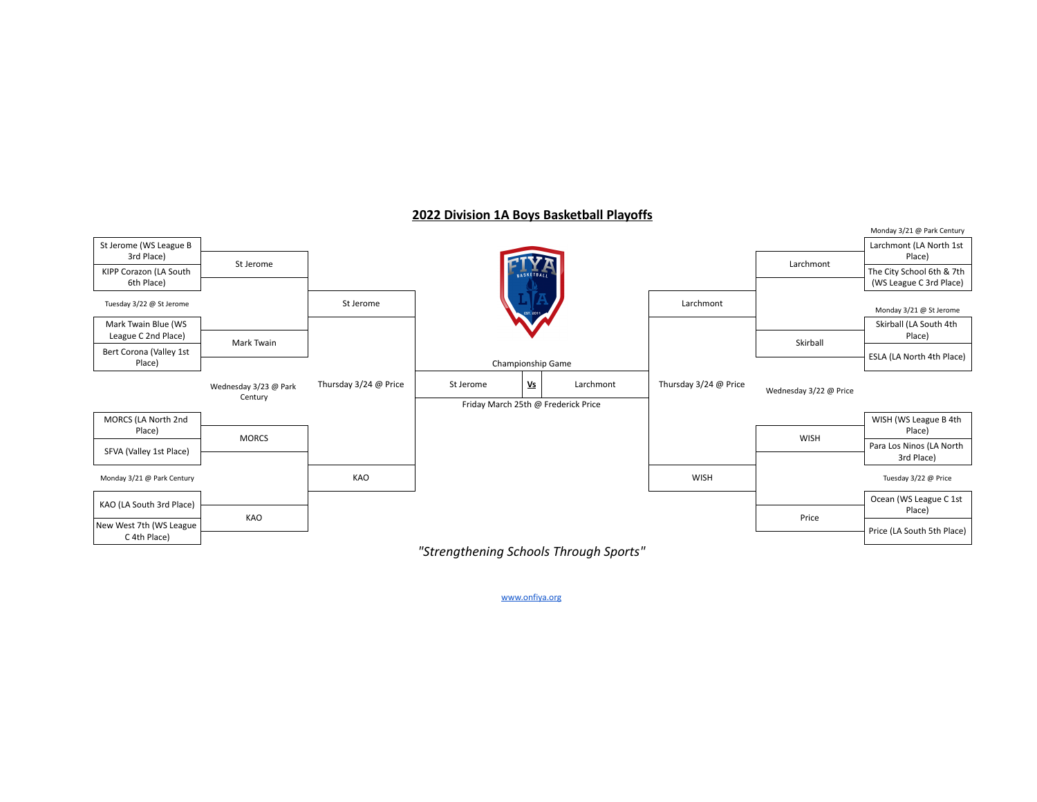

## **2022 Division 1A Boys Basketball Playoffs**

www.onfiya.org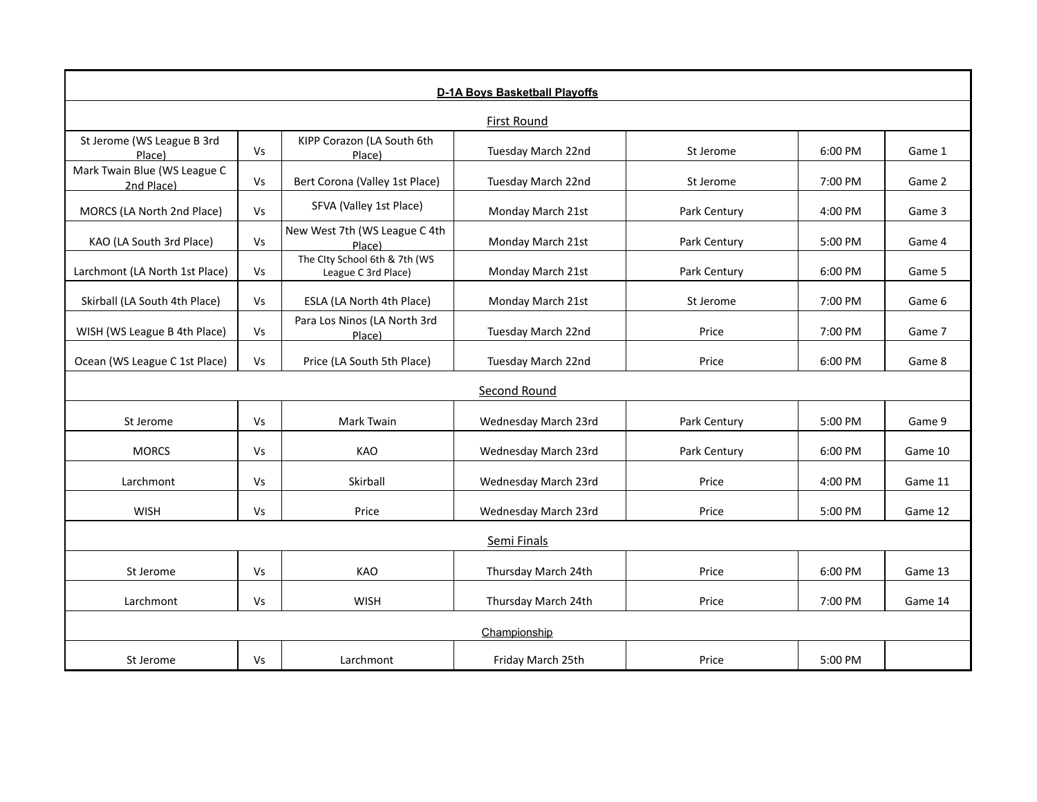| D-1A Boys Basketball Playoffs              |           |                                                      |                      |              |         |         |  |  |  |  |
|--------------------------------------------|-----------|------------------------------------------------------|----------------------|--------------|---------|---------|--|--|--|--|
| First Round                                |           |                                                      |                      |              |         |         |  |  |  |  |
| St Jerome (WS League B 3rd<br>Place)       | Vs        | KIPP Corazon (LA South 6th<br>Place)                 | Tuesday March 22nd   | St Jerome    | 6:00 PM | Game 1  |  |  |  |  |
| Mark Twain Blue (WS League C<br>2nd Place) | <b>Vs</b> | Bert Corona (Valley 1st Place)                       | Tuesday March 22nd   | St Jerome    | 7:00 PM | Game 2  |  |  |  |  |
| MORCS (LA North 2nd Place)                 | <b>Vs</b> | SFVA (Valley 1st Place)                              | Monday March 21st    | Park Century | 4:00 PM | Game 3  |  |  |  |  |
| KAO (LA South 3rd Place)                   | Vs        | New West 7th (WS League C 4th<br>Place)              | Monday March 21st    | Park Century | 5:00 PM | Game 4  |  |  |  |  |
| Larchmont (LA North 1st Place)             | Vs        | The City School 6th & 7th (WS<br>League C 3rd Place) | Monday March 21st    | Park Century | 6:00 PM | Game 5  |  |  |  |  |
| Skirball (LA South 4th Place)              | <b>Vs</b> | ESLA (LA North 4th Place)                            | Monday March 21st    | St Jerome    | 7:00 PM | Game 6  |  |  |  |  |
| WISH (WS League B 4th Place)               | Vs        | Para Los Ninos (LA North 3rd<br>Place)               | Tuesday March 22nd   | Price        | 7:00 PM | Game 7  |  |  |  |  |
| Ocean (WS League C 1st Place)              | <b>Vs</b> | Price (LA South 5th Place)                           | Tuesday March 22nd   | Price        | 6:00 PM | Game 8  |  |  |  |  |
| Second Round                               |           |                                                      |                      |              |         |         |  |  |  |  |
| St Jerome                                  | <b>Vs</b> | Mark Twain                                           | Wednesday March 23rd | Park Century | 5:00 PM | Game 9  |  |  |  |  |
| <b>MORCS</b>                               | Vs        | KAO                                                  | Wednesday March 23rd | Park Century | 6:00 PM | Game 10 |  |  |  |  |
| Larchmont                                  | Vs        | Skirball                                             | Wednesday March 23rd | Price        | 4:00 PM | Game 11 |  |  |  |  |
| <b>WISH</b>                                | <b>Vs</b> | Price                                                | Wednesday March 23rd | Price        | 5:00 PM | Game 12 |  |  |  |  |
| Semi Finals                                |           |                                                      |                      |              |         |         |  |  |  |  |
| St Jerome                                  | <b>Vs</b> | KAO                                                  | Thursday March 24th  | Price        | 6:00 PM | Game 13 |  |  |  |  |
| Larchmont                                  | Vs        | <b>WISH</b>                                          | Thursday March 24th  | Price        | 7:00 PM | Game 14 |  |  |  |  |
| Championship                               |           |                                                      |                      |              |         |         |  |  |  |  |
| St Jerome                                  | Vs        | Larchmont                                            | Friday March 25th    | Price        | 5:00 PM |         |  |  |  |  |